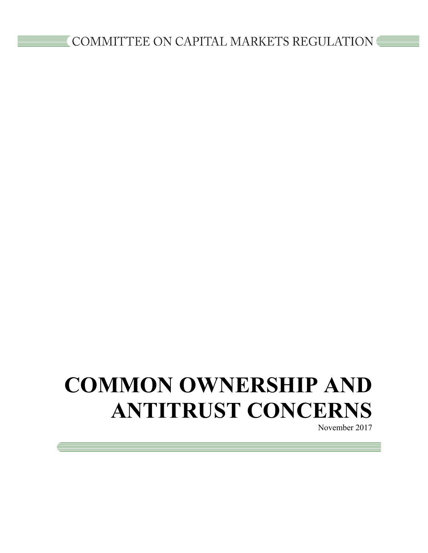# **COMMON OWNERSHIP AND ANTITRUST CONCERNS**

November 2017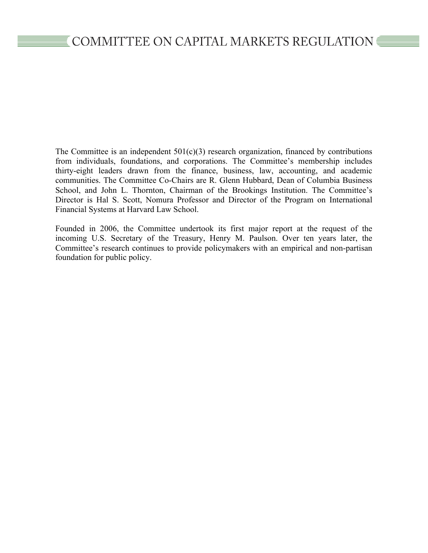The Committee is an independent  $501(c)(3)$  research organization, financed by contributions from individuals, foundations, and corporations. The Committee's membership includes thirty-eight leaders drawn from the finance, business, law, accounting, and academic communities. The Committee Co-Chairs are R. Glenn Hubbard, Dean of Columbia Business School, and John L. Thornton, Chairman of the Brookings Institution. The Committee's Director is Hal S. Scott, Nomura Professor and Director of the Program on International Financial Systems at Harvard Law School.

Founded in 2006, the Committee undertook its first major report at the request of the incoming U.S. Secretary of the Treasury, Henry M. Paulson. Over ten years later, the Committee's research continues to provide policymakers with an empirical and non-partisan foundation for public policy.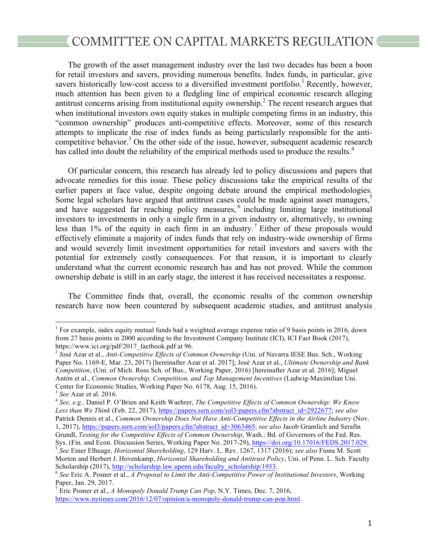# $\epsilon$  COMMITTEE ON CAPITAL MARKETS REGULATION

The growth of the asset management industry over the last two decades has been a boon for retail investors and savers, providing numerous benefits. Index funds, in particular, give savers historically low-cost access to a diversified investment portfolio.<sup>1</sup> Recently, however, much attention has been given to a fledgling line of empirical economic research alleging antitrust concerns arising from institutional equity ownership.<sup>2</sup> The recent research argues that when institutional investors own equity stakes in multiple competing firms in an industry, this "common ownership" produces anti-competitive effects. Moreover, some of this research attempts to implicate the rise of index funds as being particularly responsible for the anticompetitive behavior.<sup>3</sup> On the other side of the issue, however, subsequent academic research has called into doubt the reliability of the empirical methods used to produce the results.<sup>4</sup>

Of particular concern, this research has already led to policy discussions and papers that advocate remedies for this issue. These policy discussions take the empirical results of the earlier papers at face value, despite ongoing debate around the empirical methodologies. Some legal scholars have argued that antitrust cases could be made against asset managers,<sup>5</sup> and have suggested far reaching policy measures,<sup>6</sup> including limiting large institutional investors to investments in only a single firm in a given industry or, alternatively, to owning less than 1% of the equity in each firm in an industry.<sup>7</sup> Either of these proposals would effectively eliminate a majority of index funds that rely on industry-wide ownership of firms and would severely limit investment opportunities for retail investors and savers with the potential for extremely costly consequences. For that reason, it is important to clearly understand what the current economic research has and has not proved. While the common ownership debate is still in an early stage, the interest it has received necessitates a response.

The Committee finds that, overall, the economic results of the common ownership research have now been countered by subsequent academic studies, and antitrust analysis

<sup>&</sup>lt;sup>1</sup> For example, index equity mutual funds had a weighted average expense ratio of 9 basis points in 2016, down from 27 basis points in 2000 according to the Investment Company Institute (ICI), ICI Fact Book (2017), https://www.ici.org/pdf/2017\_factbook.pdf at 96.<br><sup>2</sup> José Azar et al., *Anti-Competitive Effects of Common Ownership* (Uni. of Navarra IESE Bus. Sch., Working

Paper No. 1169-E, Mar. 23, 2017) [hereinafter Azar et al. 2017]; José Azar et al., *Ultimate Ownership and Bank Competition*, (Uni. of Mich. Ross Sch. of Bus., Working Paper, 2016) [hereinafter Azar et al. 2016]; Miguel Antón et al., *Common Ownership, Competition, and Top Management Incentives* (Ludwig-Maximilian Uni. Center for Economic Studies, Working Paper No. 6178, Aug. 15, 2016).<br><sup>3</sup> See Azar et al. 2016.

<sup>&</sup>lt;sup>4</sup> See, e.g., Daniel P. O'Brien and Keith Waehrer, *The Competitive Effects of Common Ownership: We Know Less than We Think* (Feb. 22, 2017), https://papers.ssrn.com/sol3/papers.cfm?abstract\_id=2922677; *see also*  Patrick Dennis et al., *Common Ownership Does Not Have Anti-Competitive Effects in the Airline Industry* (Nov. 1, 2017), https://papers.ssrn.com/sol3/papers.cfm?abstract\_id=3063465; *see also* Jacob Gramlich and Serafin Grundl, *Testing for the Competitive Effects of Common Ownership*, Wash.: Bd. of Governors of the Fed. Res. Sys. (Fin. and Econ. Discussion Series, Working Paper No. 2017-29), https://doi.org/10.17016/FEDS.2017.029.<br><sup>5</sup> See Einer Elhuage, *Horizontal Shareholding*, 129 Harv. L. Rev. 1267, 1317 (2016); see also Fiona M. Scott Morton and Herbert J. Hovenkamp, *Horizontal Shareholding and Antitrust Policy*, Uni. of Penn. L. Sch. Faculty Scholarship (2017), http://scholarship.law.upenn.edu/faculty\_scholarship/1933.<br><sup>6</sup> See Eric A. Posner et al., *A Proposal to Limit the Anti-Competitive Power of Institutional Investors*, Working

Paper, Jan. 29, 2017.

<sup>7</sup> Eric Posner et al., *A Monopoly Donald Trump Can Pop*, N.Y. Times, Dec. 7, 2016, https://www.nytimes.com/2016/12/07/opinion/a-monopoly-donald-trump-can-pop.html.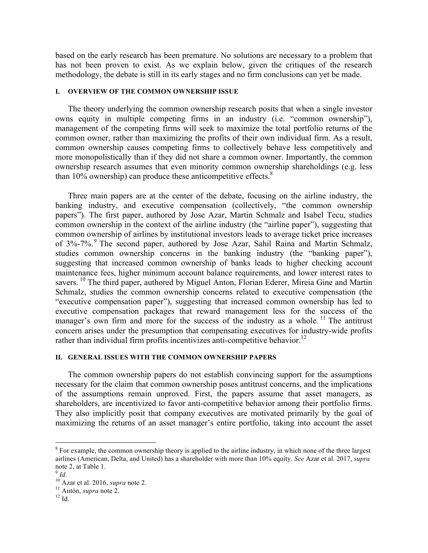based on the early research has been premature. No solutions are necessary to a problem that has not been proven to exist. As we explain below, given the critiques of the research methodology, the debate is still in its early stages and no firm conclusions can yet be made.

#### **I. OVERVIEW OF THE COMMON OWNERSHIP ISSUE**

The theory underlying the common ownership research posits that when a single investor owns equity in multiple competing firms in an industry (i.e. "common ownership"), management of the competing firms will seek to maximize the total portfolio returns of the common owner, rather than maximizing the profits of their own individual firm. As a result, common ownership causes competing firms to collectively behave less competitively and more monopolistically than if they did not share a common owner. Importantly, the common ownership research assumes that even minority common ownership shareholdings (e.g. less than  $10\%$  ownership) can produce these anticompetitive effects.<sup>8</sup>

Three main papers are at the center of the debate, focusing on the airline industry, the banking industry, and executive compensation (collectively, "the common ownership papers"). The first paper, authored by Jose Azar, Martin Schmalz and Isabel Tecu, studies common ownership in the context of the airline industry (the "airline paper"), suggesting that common ownership of airlines by institutional investors leads to average ticket price increases of 3%-7%.<sup>9</sup> The second paper, authored by Jose Azar, Sahil Raina and Martin Schmalz, studies common ownership concerns in the banking industry (the "banking paper"), suggesting that increased common ownership of banks leads to higher checking account maintenance fees, higher minimum account balance requirements, and lower interest rates to savers.<sup>10</sup> The third paper, authored by Miguel Anton, Florian Ederer, Mireia Gine and Martin Schmalz, studies the common ownership concerns related to executive compensation (the "executive compensation paper"), suggesting that increased common ownership has led to executive compensation packages that reward management less for the success of the manager's own firm and more for the success of the industry as a whole.<sup>11</sup> The antitrust concern arises under the presumption that compensating executives for industry-wide profits rather than individual firm profits incentivizes anti-competitive behavior.<sup>12</sup>

#### **II. GENERAL ISSUES WITH THE COMMON OWNERSHIP PAPERS**

The common ownership papers do not establish convincing support for the assumptions necessary for the claim that common ownership poses antitrust concerns, and the implications of the assumptions remain unproved. First, the papers assume that asset managers, as shareholders, are incentivized to favor anti-competitive behavior among their portfolio firms. They also implicitly posit that company executives are motivated primarily by the goal of maximizing the returns of an asset manager's entire portfolio, taking into account the asset

 $8$  For example, the common ownership theory is applied to the airline industry, in which none of the three largest airlines (American, Delta, and United) has a shareholder with more than 10% equity. *See* Azar et al. 2017, *supra* note 2, at Table 1. <sup>9</sup> *Id.*

 $\frac{10}{10}$  Azar et al. 2016, *supra* note 2.<br><sup>11</sup> Antón, *supra* note 2.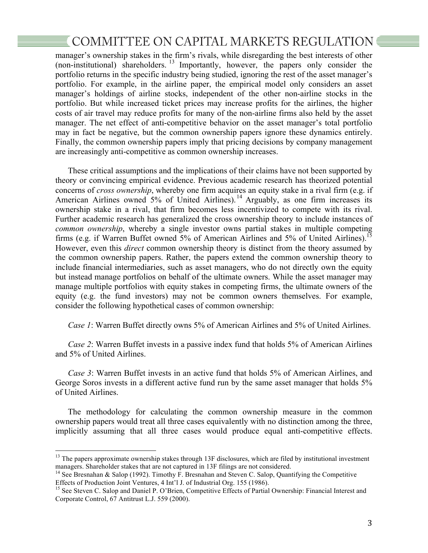## $\equiv$  COMMITTEE ON CAPITAL MARKETS REGULATION  $\equiv$

manager's ownership stakes in the firm's rivals, while disregarding the best interests of other (non-institutional) shareholders.<sup>13</sup> Importantly, however, the papers only consider the portfolio returns in the specific industry being studied, ignoring the rest of the asset manager's portfolio. For example, in the airline paper, the empirical model only considers an asset manager's holdings of airline stocks, independent of the other non-airline stocks in the portfolio. But while increased ticket prices may increase profits for the airlines, the higher costs of air travel may reduce profits for many of the non-airline firms also held by the asset manager. The net effect of anti-competitive behavior on the asset manager's total portfolio may in fact be negative, but the common ownership papers ignore these dynamics entirely. Finally, the common ownership papers imply that pricing decisions by company management are increasingly anti-competitive as common ownership increases.

These critical assumptions and the implications of their claims have not been supported by theory or convincing empirical evidence. Previous academic research has theorized potential concerns of *cross ownership*, whereby one firm acquires an equity stake in a rival firm (e.g. if American Airlines owned 5% of United Airlines).<sup>14</sup> Arguably, as one firm increases its ownership stake in a rival, that firm becomes less incentivized to compete with its rival. Further academic research has generalized the cross ownership theory to include instances of *common ownership*, whereby a single investor owns partial stakes in multiple competing firms (e.g. if Warren Buffet owned 5% of American Airlines and 5% of United Airlines).<sup>15</sup> However, even this *direct* common ownership theory is distinct from the theory assumed by the common ownership papers. Rather, the papers extend the common ownership theory to include financial intermediaries, such as asset managers, who do not directly own the equity but instead manage portfolios on behalf of the ultimate owners. While the asset manager may manage multiple portfolios with equity stakes in competing firms, the ultimate owners of the equity (e.g. the fund investors) may not be common owners themselves. For example, consider the following hypothetical cases of common ownership:

*Case 1*: Warren Buffet directly owns 5% of American Airlines and 5% of United Airlines.

*Case 2*: Warren Buffet invests in a passive index fund that holds 5% of American Airlines and 5% of United Airlines.

*Case 3*: Warren Buffet invests in an active fund that holds 5% of American Airlines, and George Soros invests in a different active fund run by the same asset manager that holds 5% of United Airlines.

The methodology for calculating the common ownership measure in the common ownership papers would treat all three cases equivalently with no distinction among the three, implicitly assuming that all three cases would produce equal anti-competitive effects.

<sup>&</sup>lt;sup>13</sup> The papers approximate ownership stakes through 13F disclosures, which are filed by institutional investment managers. Shareholder stakes that are not captured in 13F filings are not considered.<br><sup>14</sup> See Bresnahan & Salop (1992). Timothy F. Bresnahan and Steven C. Salop, Quantifying the Competitive

Effects of Production Joint Ventures, 4 Int'l J. of Industrial Org. 155 (1986).

<sup>&</sup>lt;sup>15</sup> See Steven C. Salop and Daniel P. O'Brien, Competitive Effects of Partial Ownership: Financial Interest and Corporate Control, 67 Antitrust L.J. 559 (2000).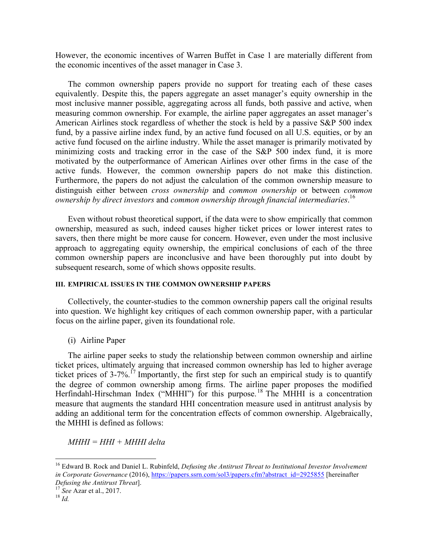However, the economic incentives of Warren Buffet in Case 1 are materially different from the economic incentives of the asset manager in Case 3.

The common ownership papers provide no support for treating each of these cases equivalently. Despite this, the papers aggregate an asset manager's equity ownership in the most inclusive manner possible, aggregating across all funds, both passive and active, when measuring common ownership. For example, the airline paper aggregates an asset manager's American Airlines stock regardless of whether the stock is held by a passive S&P 500 index fund, by a passive airline index fund, by an active fund focused on all U.S. equities, or by an active fund focused on the airline industry. While the asset manager is primarily motivated by minimizing costs and tracking error in the case of the S&P 500 index fund, it is more motivated by the outperformance of American Airlines over other firms in the case of the active funds. However, the common ownership papers do not make this distinction. Furthermore, the papers do not adjust the calculation of the common ownership measure to distinguish either between *cross ownership* and *common ownership* or between *common ownership by direct investors* and *common ownership through financial intermediaries*. 16

Even without robust theoretical support, if the data were to show empirically that common ownership, measured as such, indeed causes higher ticket prices or lower interest rates to savers, then there might be more cause for concern. However, even under the most inclusive approach to aggregating equity ownership, the empirical conclusions of each of the three common ownership papers are inconclusive and have been thoroughly put into doubt by subsequent research, some of which shows opposite results.

#### **III. EMPIRICAL ISSUES IN THE COMMON OWNERSHIP PAPERS**

Collectively, the counter-studies to the common ownership papers call the original results into question. We highlight key critiques of each common ownership paper, with a particular focus on the airline paper, given its foundational role.

(i) Airline Paper

The airline paper seeks to study the relationship between common ownership and airline ticket prices, ultimately arguing that increased common ownership has led to higher average ticket prices of 3-7%.<sup>17</sup> Importantly, the first step for such an empirical study is to quantify the degree of common ownership among firms. The airline paper proposes the modified Herfindahl-Hirschman Index ("MHHI") for this purpose.<sup>18</sup> The MHHI is a concentration measure that augments the standard HHI concentration measure used in antitrust analysis by adding an additional term for the concentration effects of common ownership. Algebraically, the MHHI is defined as follows:

*MHHI = HHI + MHHI delta*

 <sup>16</sup> Edward B. Rock and Daniel L. Rubinfeld, *Defusing the Antitrust Threat to Institutional Investor Involvement in Corporate Governance* (2016), https://papers.ssrn.com/sol3/papers.cfm?abstract\_id=2925855 [hereinafter *Defusing the Antitrust Threat*]. <sup>17</sup> *See* Azar et al., 2017. <sup>18</sup> *Id.*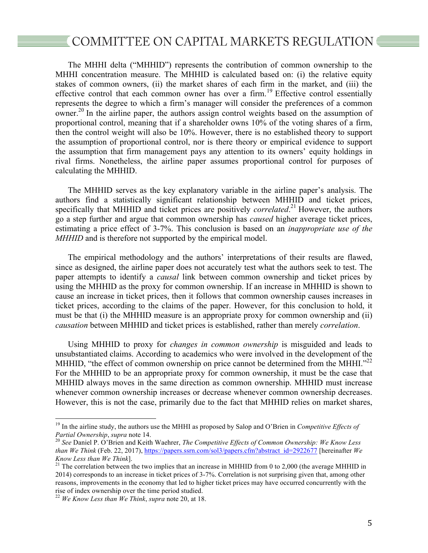## $\mathbb{\bar{E}}$  COMMITTEE ON CAPITAL MARKETS REGULATION  $\mathbb{\bar{E}}$

The MHHI delta ("MHHID") represents the contribution of common ownership to the MHHI concentration measure. The MHHID is calculated based on: (i) the relative equity stakes of common owners, (ii) the market shares of each firm in the market, and (iii) the effective control that each common owner has over a firm.<sup>19</sup> Effective control essentially represents the degree to which a firm's manager will consider the preferences of a common owner.<sup>20</sup> In the airline paper, the authors assign control weights based on the assumption of proportional control, meaning that if a shareholder owns 10% of the voting shares of a firm, then the control weight will also be 10%. However, there is no established theory to support the assumption of proportional control, nor is there theory or empirical evidence to support the assumption that firm management pays any attention to its owners' equity holdings in rival firms. Nonetheless, the airline paper assumes proportional control for purposes of calculating the MHHID.

The MHHID serves as the key explanatory variable in the airline paper's analysis. The authors find a statistically significant relationship between MHHID and ticket prices, specifically that MHHID and ticket prices are positively *correlated*. <sup>21</sup> However, the authors go a step further and argue that common ownership has *caused* higher average ticket prices, estimating a price effect of 3-7%. This conclusion is based on an *inappropriate use of the MHHID* and is therefore not supported by the empirical model.

The empirical methodology and the authors' interpretations of their results are flawed, since as designed, the airline paper does not accurately test what the authors seek to test. The paper attempts to identify a *causal* link between common ownership and ticket prices by using the MHHID as the proxy for common ownership. If an increase in MHHID is shown to cause an increase in ticket prices, then it follows that common ownership causes increases in ticket prices, according to the claims of the paper. However, for this conclusion to hold, it must be that (i) the MHHID measure is an appropriate proxy for common ownership and (ii) *causation* between MHHID and ticket prices is established, rather than merely *correlation*.

Using MHHID to proxy for *changes in common ownership* is misguided and leads to unsubstantiated claims. According to academics who were involved in the development of the MHHID, "the effect of common ownership on price cannot be determined from the MHHI." $^{22}$ For the MHHID to be an appropriate proxy for common ownership, it must be the case that MHHID always moves in the same direction as common ownership. MHHID must increase whenever common ownership increases or decrease whenever common ownership decreases. However, this is not the case, primarily due to the fact that MHHID relies on market shares,

<sup>&</sup>lt;sup>19</sup> In the airline study, the authors use the MHHI as proposed by Salop and O'Brien in *Competitive Effects of Partial Ownership, supra* note 14.

<sup>&</sup>lt;sup>20</sup> See Daniel P. O'Brien and Keith Waehrer, *The Competitive Effects of Common Ownership: We Know Less than We Think* (Feb. 22, 2017), https://papers.ssrn.com/sol3/papers.cfm?abstract\_id=2922677 [hereinafter *We Know Less than We Think*].<br><sup>21</sup> The correlation between the two implies that an increase in MHHID from 0 to 2,000 (the average MHHID in

<sup>2014)</sup> corresponds to an increase in ticket prices of 3-7%. Correlation is not surprising given that, among other reasons, improvements in the economy that led to higher ticket prices may have occurred concurrently with the rise of index ownership over the time period studied.

<sup>22</sup> *We Know Less than We Think*, *supra* note 20, at 18.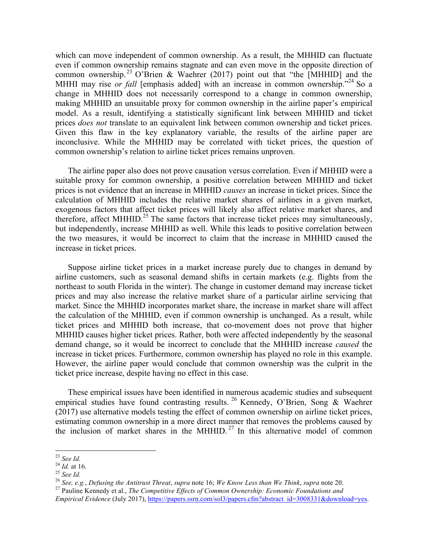which can move independent of common ownership. As a result, the MHHID can fluctuate even if common ownership remains stagnate and can even move in the opposite direction of common ownership.<sup>23</sup> O'Brien & Waehrer (2017) point out that "the [MHHID] and the MHHI may rise *or fall* [emphasis added] with an increase in common ownership.<sup>224</sup> So a change in MHHID does not necessarily correspond to a change in common ownership, making MHHID an unsuitable proxy for common ownership in the airline paper's empirical model. As a result, identifying a statistically significant link between MHHID and ticket prices *does not* translate to an equivalent link between common ownership and ticket prices. Given this flaw in the key explanatory variable, the results of the airline paper are inconclusive. While the MHHID may be correlated with ticket prices, the question of common ownership's relation to airline ticket prices remains unproven.

The airline paper also does not prove causation versus correlation. Even if MHHID were a suitable proxy for common ownership, a positive correlation between MHHID and ticket prices is not evidence that an increase in MHHID *causes* an increase in ticket prices. Since the calculation of MHHID includes the relative market shares of airlines in a given market, exogenous factors that affect ticket prices will likely also affect relative market shares, and therefore, affect MHHID.<sup>25</sup> The same factors that increase ticket prices may simultaneously, but independently, increase MHHID as well. While this leads to positive correlation between the two measures, it would be incorrect to claim that the increase in MHHID caused the increase in ticket prices.

Suppose airline ticket prices in a market increase purely due to changes in demand by airline customers, such as seasonal demand shifts in certain markets (e.g. flights from the northeast to south Florida in the winter). The change in customer demand may increase ticket prices and may also increase the relative market share of a particular airline servicing that market. Since the MHHID incorporates market share, the increase in market share will affect the calculation of the MHHID, even if common ownership is unchanged. As a result, while ticket prices and MHHID both increase, that co-movement does not prove that higher MHHID causes higher ticket prices. Rather, both were affected independently by the seasonal demand change, so it would be incorrect to conclude that the MHHID increase *caused* the increase in ticket prices. Furthermore, common ownership has played no role in this example. However, the airline paper would conclude that common ownership was the culprit in the ticket price increase, despite having no effect in this case.

These empirical issues have been identified in numerous academic studies and subsequent empirical studies have found contrasting results. <sup>26</sup> Kennedy, O'Brien, Song & Waehrer (2017) use alternative models testing the effect of common ownership on airline ticket prices, estimating common ownership in a more direct manner that removes the problems caused by the inclusion of market shares in the MHHID.<sup>27</sup> In this alternative model of common

<sup>&</sup>lt;sup>23</sup> See Id.<br><sup>24</sup> Id. at 16.<br><sup>25</sup> See Id.<br><sup>25</sup> See, e.g., Defusing the Antitrust Threat, supra note 16; We Know Less than We Think, supra note 20.<br><sup>26</sup> See, e.g., Defusing the Antitrust Threat, supra note 16; We Know Less

*Empirical Evidence* (July 2017), https://papers.ssrn.com/sol3/papers.cfm?abstract\_id=3008331&download=yes.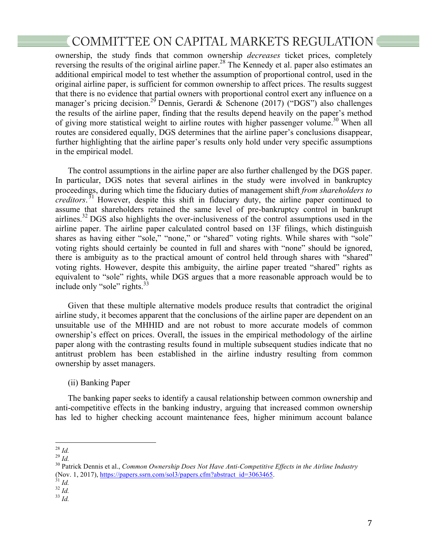## COMMITTEE ON CAPITAL MARKETS REGULATION

ownership, the study finds that common ownership *decreases* ticket prices, completely reversing the results of the original airline paper.<sup>28</sup> The Kennedy et al. paper also estimates an additional empirical model to test whether the assumption of proportional control, used in the original airline paper, is sufficient for common ownership to affect prices. The results suggest that there is no evidence that partial owners with proportional control exert any influence on a manager's pricing decision.<sup>29</sup> Dennis, Gerardi & Schenone (2017) ("DGS") also challenges the results of the airline paper, finding that the results depend heavily on the paper's method of giving more statistical weight to airline routes with higher passenger volume.<sup>30</sup> When all routes are considered equally, DGS determines that the airline paper's conclusions disappear, further highlighting that the airline paper's results only hold under very specific assumptions in the empirical model.

The control assumptions in the airline paper are also further challenged by the DGS paper. In particular, DGS notes that several airlines in the study were involved in bankruptcy proceedings, during which time the fiduciary duties of management shift *from shareholders to creditors*. <sup>31</sup> However, despite this shift in fiduciary duty, the airline paper continued to assume that shareholders retained the same level of pre-bankruptcy control in bankrupt airlines.<sup>32</sup> DGS also highlights the over-inclusiveness of the control assumptions used in the airline paper. The airline paper calculated control based on 13F filings, which distinguish shares as having either "sole," "none," or "shared" voting rights. While shares with "sole" voting rights should certainly be counted in full and shares with "none" should be ignored, there is ambiguity as to the practical amount of control held through shares with "shared" voting rights. However, despite this ambiguity, the airline paper treated "shared" rights as equivalent to "sole" rights, while DGS argues that a more reasonable approach would be to include only "sole" rights. $33$ 

Given that these multiple alternative models produce results that contradict the original airline study, it becomes apparent that the conclusions of the airline paper are dependent on an unsuitable use of the MHHID and are not robust to more accurate models of common ownership's effect on prices. Overall, the issues in the empirical methodology of the airline paper along with the contrasting results found in multiple subsequent studies indicate that no antitrust problem has been established in the airline industry resulting from common ownership by asset managers.

### (ii) Banking Paper

The banking paper seeks to identify a causal relationship between common ownership and anti-competitive effects in the banking industry, arguing that increased common ownership has led to higher checking account maintenance fees, higher minimum account balance

 <sup>28</sup> *Id.* <sup>29</sup> *Id.* <sup>30</sup> Patrick Dennis et al., *Common Ownership Does Not Have Anti-Competitive Effects in the Airline Industry* (Nov. 1, 2017), <u>https://papers.ssrn.com/sol3/papers.cfm?abstract\_id=3063465</u>. 31 *Id.* 32 *Id.* 33 *Id.* 33 *Id.*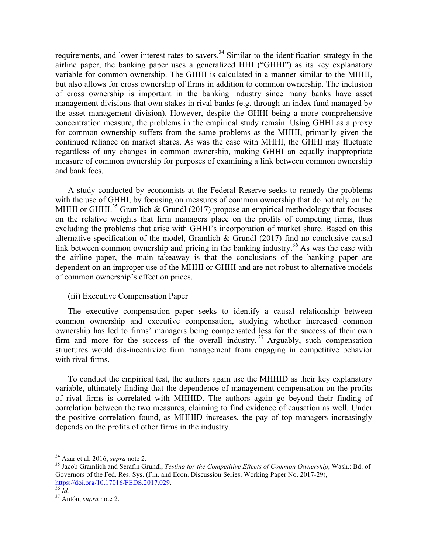requirements, and lower interest rates to savers.<sup>34</sup> Similar to the identification strategy in the airline paper, the banking paper uses a generalized HHI ("GHHI") as its key explanatory variable for common ownership. The GHHI is calculated in a manner similar to the MHHI, but also allows for cross ownership of firms in addition to common ownership. The inclusion of cross ownership is important in the banking industry since many banks have asset management divisions that own stakes in rival banks (e.g. through an index fund managed by the asset management division). However, despite the GHHI being a more comprehensive concentration measure, the problems in the empirical study remain. Using GHHI as a proxy for common ownership suffers from the same problems as the MHHI, primarily given the continued reliance on market shares. As was the case with MHHI, the GHHI may fluctuate regardless of any changes in common ownership, making GHHI an equally inappropriate measure of common ownership for purposes of examining a link between common ownership and bank fees.

A study conducted by economists at the Federal Reserve seeks to remedy the problems with the use of GHHI, by focusing on measures of common ownership that do not rely on the MHHI or GHHI.<sup>35</sup> Gramlich & Grundl (2017) propose an empirical methodology that focuses on the relative weights that firm managers place on the profits of competing firms, thus excluding the problems that arise with GHHI's incorporation of market share. Based on this alternative specification of the model, Gramlich & Grundl (2017) find no conclusive causal link between common ownership and pricing in the banking industry.<sup>36</sup> As was the case with the airline paper, the main takeaway is that the conclusions of the banking paper are dependent on an improper use of the MHHI or GHHI and are not robust to alternative models of common ownership's effect on prices.

### (iii) Executive Compensation Paper

The executive compensation paper seeks to identify a causal relationship between common ownership and executive compensation, studying whether increased common ownership has led to firms' managers being compensated less for the success of their own firm and more for the success of the overall industry.<sup>37</sup> Arguably, such compensation structures would dis-incentivize firm management from engaging in competitive behavior with rival firms.

To conduct the empirical test, the authors again use the MHHID as their key explanatory variable, ultimately finding that the dependence of management compensation on the profits of rival firms is correlated with MHHID. The authors again go beyond their finding of correlation between the two measures, claiming to find evidence of causation as well. Under the positive correlation found, as MHHID increases, the pay of top managers increasingly depends on the profits of other firms in the industry.

<sup>&</sup>lt;sup>34</sup> Azar et al. 2016, *supra* note 2.<br><sup>35</sup> Jacob Gramlich and Serafin Grundl, *Testing for the Competitive Effects of Common Ownership*, Wash.: Bd. of Governors of the Fed. Res. Sys. (Fin. and Econ. Discussion Series, Working Paper No. 2017-29), https://doi.org/10.17016/FEDS.2017.029. <sup>36</sup> *Id.* <sup>37</sup> Antón, *supra* note 2.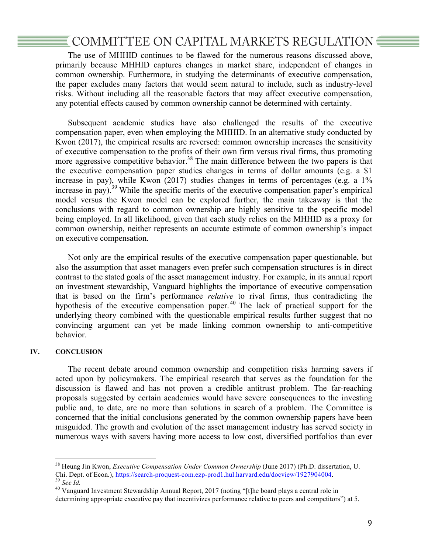## COMMITTEE ON CAPITAL MARKETS REGULATION

The use of MHHID continues to be flawed for the numerous reasons discussed above, primarily because MHHID captures changes in market share, independent of changes in common ownership. Furthermore, in studying the determinants of executive compensation, the paper excludes many factors that would seem natural to include, such as industry-level risks. Without including all the reasonable factors that may affect executive compensation, any potential effects caused by common ownership cannot be determined with certainty.

Subsequent academic studies have also challenged the results of the executive compensation paper, even when employing the MHHID. In an alternative study conducted by Kwon (2017), the empirical results are reversed: common ownership increases the sensitivity of executive compensation to the profits of their own firm versus rival firms, thus promoting more aggressive competitive behavior.<sup>38</sup> The main difference between the two papers is that the executive compensation paper studies changes in terms of dollar amounts (e.g. a \$1 increase in pay), while Kwon (2017) studies changes in terms of percentages (e.g. a 1% increase in pay).<sup>39</sup> While the specific merits of the executive compensation paper's empirical model versus the Kwon model can be explored further, the main takeaway is that the conclusions with regard to common ownership are highly sensitive to the specific model being employed. In all likelihood, given that each study relies on the MHHID as a proxy for common ownership, neither represents an accurate estimate of common ownership's impact on executive compensation.

Not only are the empirical results of the executive compensation paper questionable, but also the assumption that asset managers even prefer such compensation structures is in direct contrast to the stated goals of the asset management industry. For example, in its annual report on investment stewardship, Vanguard highlights the importance of executive compensation that is based on the firm's performance *relative* to rival firms, thus contradicting the hypothesis of the executive compensation paper. <sup>40</sup> The lack of practical support for the underlying theory combined with the questionable empirical results further suggest that no convincing argument can yet be made linking common ownership to anti-competitive behavior.

#### **IV. CONCLUSION**

The recent debate around common ownership and competition risks harming savers if acted upon by policymakers. The empirical research that serves as the foundation for the discussion is flawed and has not proven a credible antitrust problem. The far-reaching proposals suggested by certain academics would have severe consequences to the investing public and, to date, are no more than solutions in search of a problem. The Committee is concerned that the initial conclusions generated by the common ownership papers have been misguided. The growth and evolution of the asset management industry has served society in numerous ways with savers having more access to low cost, diversified portfolios than ever

 <sup>38</sup> Heung Jin Kwon, *Executive Compensation Under Common Ownership* (June 2017) (Ph.D. dissertation, U. Chi. Dept. of Econ.), https://search-proquest-com.ezp-prod1.hul.harvard.edu/docview/1927904004. <sup>39</sup> *See Id.* <sup>40</sup> Vanguard Investment Stewardship Annual Report, 2017 (noting "[t]he board plays a central role in

determining appropriate executive pay that incentivizes performance relative to peers and competitors") at 5.